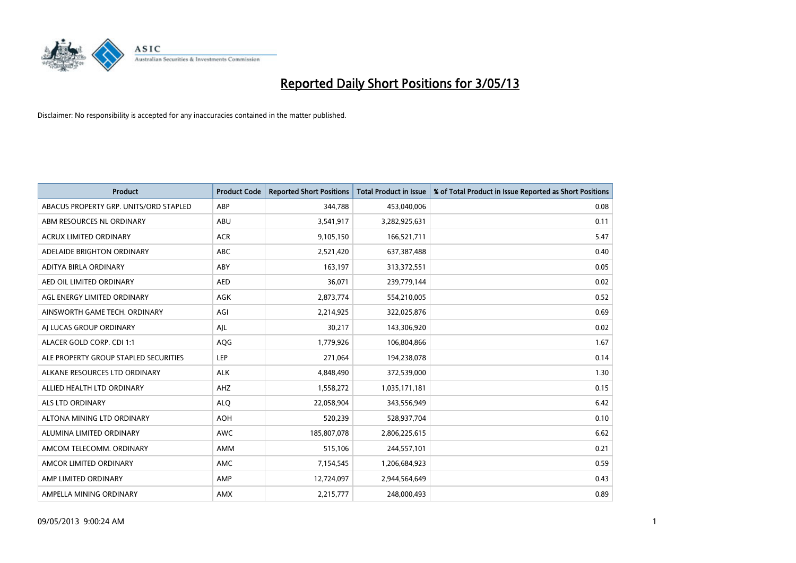

| <b>Product</b>                         | <b>Product Code</b> | <b>Reported Short Positions</b> | <b>Total Product in Issue</b> | % of Total Product in Issue Reported as Short Positions |
|----------------------------------------|---------------------|---------------------------------|-------------------------------|---------------------------------------------------------|
| ABACUS PROPERTY GRP. UNITS/ORD STAPLED | ABP                 | 344,788                         | 453,040,006                   | 0.08                                                    |
| ABM RESOURCES NL ORDINARY              | ABU                 | 3,541,917                       | 3,282,925,631                 | 0.11                                                    |
| <b>ACRUX LIMITED ORDINARY</b>          | <b>ACR</b>          | 9,105,150                       | 166,521,711                   | 5.47                                                    |
| ADELAIDE BRIGHTON ORDINARY             | <b>ABC</b>          | 2,521,420                       | 637,387,488                   | 0.40                                                    |
| ADITYA BIRLA ORDINARY                  | ABY                 | 163,197                         | 313,372,551                   | 0.05                                                    |
| AED OIL LIMITED ORDINARY               | <b>AED</b>          | 36,071                          | 239,779,144                   | 0.02                                                    |
| AGL ENERGY LIMITED ORDINARY            | AGK                 | 2,873,774                       | 554,210,005                   | 0.52                                                    |
| AINSWORTH GAME TECH. ORDINARY          | AGI                 | 2,214,925                       | 322,025,876                   | 0.69                                                    |
| AI LUCAS GROUP ORDINARY                | AJL                 | 30,217                          | 143,306,920                   | 0.02                                                    |
| ALACER GOLD CORP. CDI 1:1              | AQG                 | 1,779,926                       | 106,804,866                   | 1.67                                                    |
| ALE PROPERTY GROUP STAPLED SECURITIES  | <b>LEP</b>          | 271,064                         | 194,238,078                   | 0.14                                                    |
| ALKANE RESOURCES LTD ORDINARY          | <b>ALK</b>          | 4,848,490                       | 372,539,000                   | 1.30                                                    |
| ALLIED HEALTH LTD ORDINARY             | AHZ                 | 1,558,272                       | 1,035,171,181                 | 0.15                                                    |
| <b>ALS LTD ORDINARY</b>                | <b>ALO</b>          | 22,058,904                      | 343,556,949                   | 6.42                                                    |
| ALTONA MINING LTD ORDINARY             | <b>AOH</b>          | 520,239                         | 528,937,704                   | 0.10                                                    |
| ALUMINA LIMITED ORDINARY               | AWC                 | 185,807,078                     | 2,806,225,615                 | 6.62                                                    |
| AMCOM TELECOMM. ORDINARY               | AMM                 | 515,106                         | 244,557,101                   | 0.21                                                    |
| AMCOR LIMITED ORDINARY                 | <b>AMC</b>          | 7,154,545                       | 1,206,684,923                 | 0.59                                                    |
| AMP LIMITED ORDINARY                   | AMP                 | 12,724,097                      | 2,944,564,649                 | 0.43                                                    |
| AMPELLA MINING ORDINARY                | AMX                 | 2,215,777                       | 248,000,493                   | 0.89                                                    |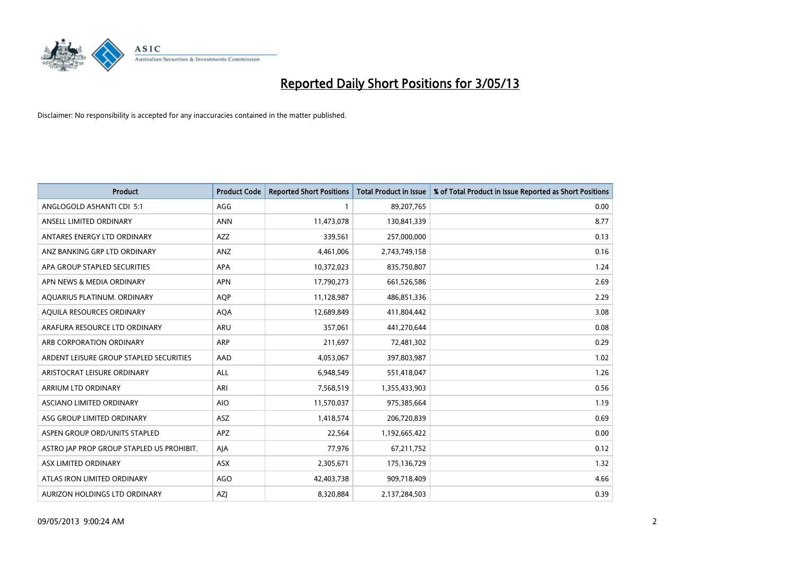

| <b>Product</b>                            | <b>Product Code</b> | <b>Reported Short Positions</b> | <b>Total Product in Issue</b> | % of Total Product in Issue Reported as Short Positions |
|-------------------------------------------|---------------------|---------------------------------|-------------------------------|---------------------------------------------------------|
| ANGLOGOLD ASHANTI CDI 5:1                 | AGG                 |                                 | 89,207,765                    | 0.00                                                    |
| ANSELL LIMITED ORDINARY                   | <b>ANN</b>          | 11,473,078                      | 130,841,339                   | 8.77                                                    |
| ANTARES ENERGY LTD ORDINARY               | AZZ                 | 339,561                         | 257,000,000                   | 0.13                                                    |
| ANZ BANKING GRP LTD ORDINARY              | ANZ                 | 4,461,006                       | 2,743,749,158                 | 0.16                                                    |
| APA GROUP STAPLED SECURITIES              | APA                 | 10,372,023                      | 835,750,807                   | 1.24                                                    |
| APN NEWS & MEDIA ORDINARY                 | <b>APN</b>          | 17,790,273                      | 661,526,586                   | 2.69                                                    |
| AQUARIUS PLATINUM. ORDINARY               | <b>AOP</b>          | 11,128,987                      | 486,851,336                   | 2.29                                                    |
| AQUILA RESOURCES ORDINARY                 | <b>AQA</b>          | 12,689,849                      | 411,804,442                   | 3.08                                                    |
| ARAFURA RESOURCE LTD ORDINARY             | <b>ARU</b>          | 357,061                         | 441,270,644                   | 0.08                                                    |
| ARB CORPORATION ORDINARY                  | <b>ARP</b>          | 211,697                         | 72,481,302                    | 0.29                                                    |
| ARDENT LEISURE GROUP STAPLED SECURITIES   | AAD                 | 4,053,067                       | 397,803,987                   | 1.02                                                    |
| ARISTOCRAT LEISURE ORDINARY               | ALL                 | 6,948,549                       | 551,418,047                   | 1.26                                                    |
| ARRIUM LTD ORDINARY                       | ARI                 | 7,568,519                       | 1,355,433,903                 | 0.56                                                    |
| ASCIANO LIMITED ORDINARY                  | <b>AIO</b>          | 11,570,037                      | 975,385,664                   | 1.19                                                    |
| ASG GROUP LIMITED ORDINARY                | <b>ASZ</b>          | 1,418,574                       | 206,720,839                   | 0.69                                                    |
| ASPEN GROUP ORD/UNITS STAPLED             | <b>APZ</b>          | 22,564                          | 1,192,665,422                 | 0.00                                                    |
| ASTRO JAP PROP GROUP STAPLED US PROHIBIT. | AJA                 | 77,976                          | 67,211,752                    | 0.12                                                    |
| ASX LIMITED ORDINARY                      | ASX                 | 2,305,671                       | 175,136,729                   | 1.32                                                    |
| ATLAS IRON LIMITED ORDINARY               | <b>AGO</b>          | 42,403,738                      | 909,718,409                   | 4.66                                                    |
| AURIZON HOLDINGS LTD ORDINARY             | AZJ                 | 8,320,884                       | 2,137,284,503                 | 0.39                                                    |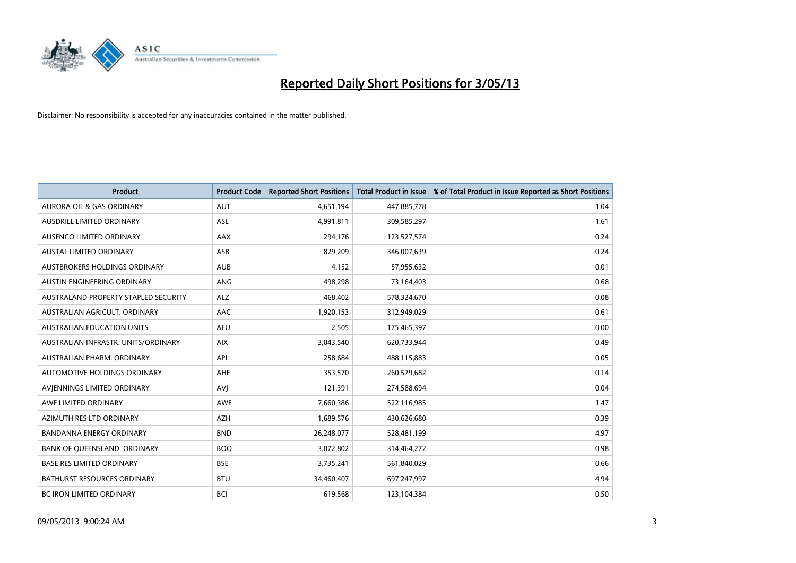

| <b>Product</b>                       | <b>Product Code</b> | <b>Reported Short Positions</b> | <b>Total Product in Issue</b> | % of Total Product in Issue Reported as Short Positions |
|--------------------------------------|---------------------|---------------------------------|-------------------------------|---------------------------------------------------------|
| <b>AURORA OIL &amp; GAS ORDINARY</b> | <b>AUT</b>          | 4,651,194                       | 447,885,778                   | 1.04                                                    |
| AUSDRILL LIMITED ORDINARY            | ASL                 | 4,991,811                       | 309,585,297                   | 1.61                                                    |
| AUSENCO LIMITED ORDINARY             | AAX                 | 294,176                         | 123,527,574                   | 0.24                                                    |
| AUSTAL LIMITED ORDINARY              | ASB                 | 829,209                         | 346,007,639                   | 0.24                                                    |
| <b>AUSTBROKERS HOLDINGS ORDINARY</b> | <b>AUB</b>          | 4,152                           | 57,955,632                    | 0.01                                                    |
| AUSTIN ENGINEERING ORDINARY          | <b>ANG</b>          | 498,298                         | 73,164,403                    | 0.68                                                    |
| AUSTRALAND PROPERTY STAPLED SECURITY | ALZ                 | 468,402                         | 578,324,670                   | 0.08                                                    |
| AUSTRALIAN AGRICULT, ORDINARY        | AAC                 | 1,920,153                       | 312,949,029                   | 0.61                                                    |
| <b>AUSTRALIAN EDUCATION UNITS</b>    | <b>AEU</b>          | 2,505                           | 175,465,397                   | 0.00                                                    |
| AUSTRALIAN INFRASTR, UNITS/ORDINARY  | <b>AIX</b>          | 3,043,540                       | 620,733,944                   | 0.49                                                    |
| AUSTRALIAN PHARM. ORDINARY           | API                 | 258,684                         | 488,115,883                   | 0.05                                                    |
| <b>AUTOMOTIVE HOLDINGS ORDINARY</b>  | <b>AHE</b>          | 353,570                         | 260,579,682                   | 0.14                                                    |
| AVIENNINGS LIMITED ORDINARY          | <b>AVI</b>          | 121,391                         | 274,588,694                   | 0.04                                                    |
| AWE LIMITED ORDINARY                 | AWE                 | 7,660,386                       | 522,116,985                   | 1.47                                                    |
| AZIMUTH RES LTD ORDINARY             | <b>AZH</b>          | 1,689,576                       | 430,626,680                   | 0.39                                                    |
| BANDANNA ENERGY ORDINARY             | <b>BND</b>          | 26,248,077                      | 528,481,199                   | 4.97                                                    |
| BANK OF QUEENSLAND. ORDINARY         | <b>BOQ</b>          | 3,072,802                       | 314,464,272                   | 0.98                                                    |
| <b>BASE RES LIMITED ORDINARY</b>     | <b>BSE</b>          | 3,735,241                       | 561,840,029                   | 0.66                                                    |
| <b>BATHURST RESOURCES ORDINARY</b>   | <b>BTU</b>          | 34,460,407                      | 697,247,997                   | 4.94                                                    |
| <b>BC IRON LIMITED ORDINARY</b>      | <b>BCI</b>          | 619,568                         | 123,104,384                   | 0.50                                                    |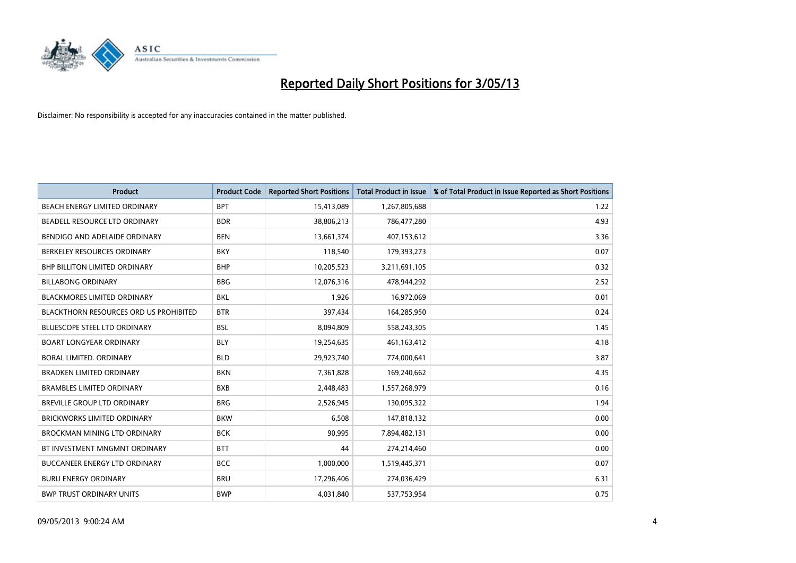

| <b>Product</b>                         | <b>Product Code</b> | <b>Reported Short Positions</b> | <b>Total Product in Issue</b> | % of Total Product in Issue Reported as Short Positions |
|----------------------------------------|---------------------|---------------------------------|-------------------------------|---------------------------------------------------------|
| BEACH ENERGY LIMITED ORDINARY          | <b>BPT</b>          | 15,413,089                      | 1,267,805,688                 | 1.22                                                    |
| BEADELL RESOURCE LTD ORDINARY          | <b>BDR</b>          | 38,806,213                      | 786,477,280                   | 4.93                                                    |
| BENDIGO AND ADELAIDE ORDINARY          | <b>BEN</b>          | 13,661,374                      | 407,153,612                   | 3.36                                                    |
| BERKELEY RESOURCES ORDINARY            | <b>BKY</b>          | 118,540                         | 179,393,273                   | 0.07                                                    |
| <b>BHP BILLITON LIMITED ORDINARY</b>   | <b>BHP</b>          | 10,205,523                      | 3,211,691,105                 | 0.32                                                    |
| <b>BILLABONG ORDINARY</b>              | <b>BBG</b>          | 12,076,316                      | 478,944,292                   | 2.52                                                    |
| BLACKMORES LIMITED ORDINARY            | <b>BKL</b>          | 1,926                           | 16,972,069                    | 0.01                                                    |
| BLACKTHORN RESOURCES ORD US PROHIBITED | <b>BTR</b>          | 397,434                         | 164,285,950                   | 0.24                                                    |
| <b>BLUESCOPE STEEL LTD ORDINARY</b>    | <b>BSL</b>          | 8,094,809                       | 558,243,305                   | 1.45                                                    |
| <b>BOART LONGYEAR ORDINARY</b>         | <b>BLY</b>          | 19,254,635                      | 461,163,412                   | 4.18                                                    |
| BORAL LIMITED. ORDINARY                | <b>BLD</b>          | 29,923,740                      | 774,000,641                   | 3.87                                                    |
| <b>BRADKEN LIMITED ORDINARY</b>        | <b>BKN</b>          | 7,361,828                       | 169,240,662                   | 4.35                                                    |
| <b>BRAMBLES LIMITED ORDINARY</b>       | <b>BXB</b>          | 2,448,483                       | 1,557,268,979                 | 0.16                                                    |
| <b>BREVILLE GROUP LTD ORDINARY</b>     | <b>BRG</b>          | 2,526,945                       | 130,095,322                   | 1.94                                                    |
| <b>BRICKWORKS LIMITED ORDINARY</b>     | <b>BKW</b>          | 6,508                           | 147,818,132                   | 0.00                                                    |
| BROCKMAN MINING LTD ORDINARY           | <b>BCK</b>          | 90,995                          | 7,894,482,131                 | 0.00                                                    |
| BT INVESTMENT MNGMNT ORDINARY          | <b>BTT</b>          | 44                              | 274,214,460                   | 0.00                                                    |
| <b>BUCCANEER ENERGY LTD ORDINARY</b>   | <b>BCC</b>          | 1,000,000                       | 1,519,445,371                 | 0.07                                                    |
| <b>BURU ENERGY ORDINARY</b>            | <b>BRU</b>          | 17,296,406                      | 274,036,429                   | 6.31                                                    |
| <b>BWP TRUST ORDINARY UNITS</b>        | <b>BWP</b>          | 4,031,840                       | 537,753,954                   | 0.75                                                    |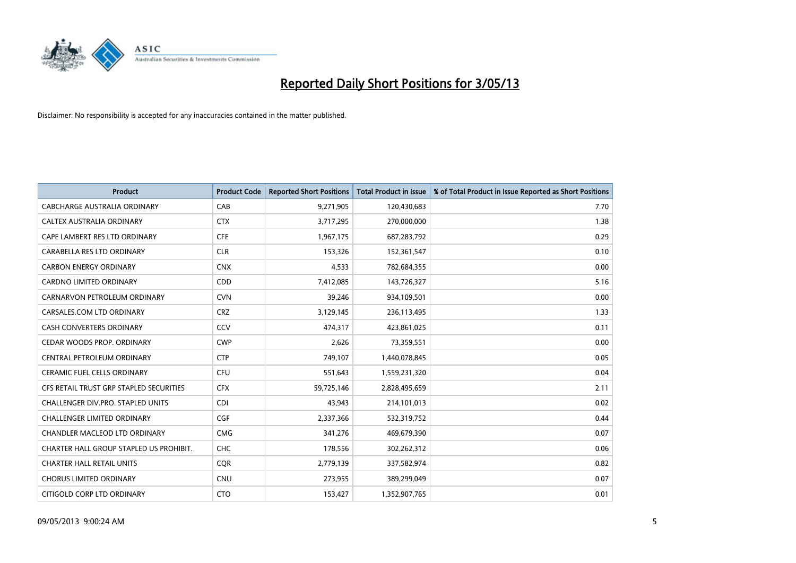

| <b>Product</b>                          | <b>Product Code</b> | <b>Reported Short Positions</b> | <b>Total Product in Issue</b> | % of Total Product in Issue Reported as Short Positions |
|-----------------------------------------|---------------------|---------------------------------|-------------------------------|---------------------------------------------------------|
| <b>CABCHARGE AUSTRALIA ORDINARY</b>     | CAB                 | 9,271,905                       | 120,430,683                   | 7.70                                                    |
| CALTEX AUSTRALIA ORDINARY               | <b>CTX</b>          | 3,717,295                       | 270,000,000                   | 1.38                                                    |
| CAPE LAMBERT RES LTD ORDINARY           | <b>CFE</b>          | 1,967,175                       | 687,283,792                   | 0.29                                                    |
| CARABELLA RES LTD ORDINARY              | <b>CLR</b>          | 153,326                         | 152,361,547                   | 0.10                                                    |
| <b>CARBON ENERGY ORDINARY</b>           | <b>CNX</b>          | 4,533                           | 782,684,355                   | 0.00                                                    |
| <b>CARDNO LIMITED ORDINARY</b>          | CDD                 | 7,412,085                       | 143,726,327                   | 5.16                                                    |
| CARNARVON PETROLEUM ORDINARY            | <b>CVN</b>          | 39,246                          | 934,109,501                   | 0.00                                                    |
| CARSALES.COM LTD ORDINARY               | <b>CRZ</b>          | 3,129,145                       | 236,113,495                   | 1.33                                                    |
| <b>CASH CONVERTERS ORDINARY</b>         | CCV                 | 474,317                         | 423,861,025                   | 0.11                                                    |
| CEDAR WOODS PROP. ORDINARY              | <b>CWP</b>          | 2,626                           | 73,359,551                    | 0.00                                                    |
| CENTRAL PETROLEUM ORDINARY              | <b>CTP</b>          | 749,107                         | 1,440,078,845                 | 0.05                                                    |
| <b>CERAMIC FUEL CELLS ORDINARY</b>      | <b>CFU</b>          | 551,643                         | 1,559,231,320                 | 0.04                                                    |
| CFS RETAIL TRUST GRP STAPLED SECURITIES | <b>CFX</b>          | 59,725,146                      | 2,828,495,659                 | 2.11                                                    |
| CHALLENGER DIV.PRO. STAPLED UNITS       | <b>CDI</b>          | 43,943                          | 214,101,013                   | 0.02                                                    |
| <b>CHALLENGER LIMITED ORDINARY</b>      | <b>CGF</b>          | 2,337,366                       | 532,319,752                   | 0.44                                                    |
| CHANDLER MACLEOD LTD ORDINARY           | <b>CMG</b>          | 341,276                         | 469,679,390                   | 0.07                                                    |
| CHARTER HALL GROUP STAPLED US PROHIBIT. | <b>CHC</b>          | 178,556                         | 302,262,312                   | 0.06                                                    |
| <b>CHARTER HALL RETAIL UNITS</b>        | <b>CQR</b>          | 2,779,139                       | 337,582,974                   | 0.82                                                    |
| <b>CHORUS LIMITED ORDINARY</b>          | <b>CNU</b>          | 273,955                         | 389,299,049                   | 0.07                                                    |
| CITIGOLD CORP LTD ORDINARY              | <b>CTO</b>          | 153,427                         | 1,352,907,765                 | 0.01                                                    |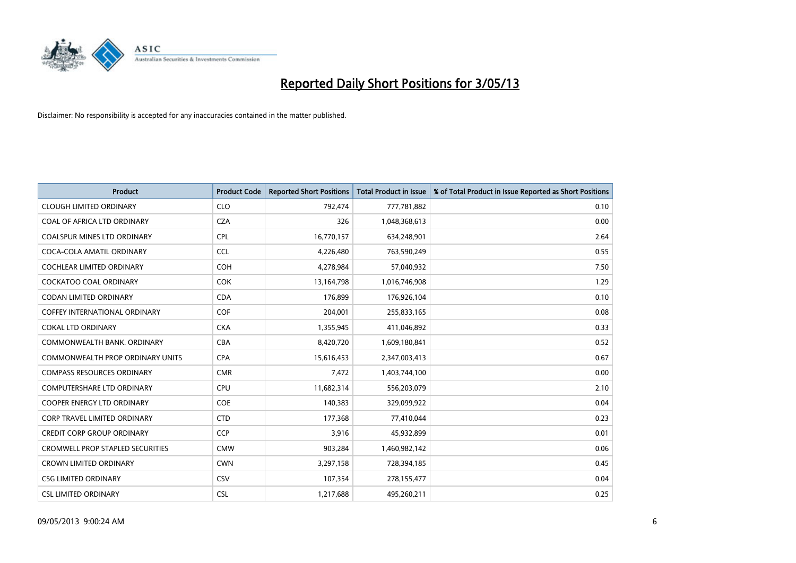

| <b>Product</b>                          | <b>Product Code</b> | <b>Reported Short Positions</b> | <b>Total Product in Issue</b> | % of Total Product in Issue Reported as Short Positions |
|-----------------------------------------|---------------------|---------------------------------|-------------------------------|---------------------------------------------------------|
| <b>CLOUGH LIMITED ORDINARY</b>          | <b>CLO</b>          | 792,474                         | 777,781,882                   | 0.10                                                    |
| COAL OF AFRICA LTD ORDINARY             | <b>CZA</b>          | 326                             | 1,048,368,613                 | 0.00                                                    |
| <b>COALSPUR MINES LTD ORDINARY</b>      | <b>CPL</b>          | 16,770,157                      | 634,248,901                   | 2.64                                                    |
| COCA-COLA AMATIL ORDINARY               | <b>CCL</b>          | 4,226,480                       | 763,590,249                   | 0.55                                                    |
| <b>COCHLEAR LIMITED ORDINARY</b>        | <b>COH</b>          | 4,278,984                       | 57,040,932                    | 7.50                                                    |
| <b>COCKATOO COAL ORDINARY</b>           | COK                 | 13,164,798                      | 1,016,746,908                 | 1.29                                                    |
| <b>CODAN LIMITED ORDINARY</b>           | <b>CDA</b>          | 176,899                         | 176,926,104                   | 0.10                                                    |
| <b>COFFEY INTERNATIONAL ORDINARY</b>    | <b>COF</b>          | 204,001                         | 255,833,165                   | 0.08                                                    |
| <b>COKAL LTD ORDINARY</b>               | <b>CKA</b>          | 1,355,945                       | 411,046,892                   | 0.33                                                    |
| COMMONWEALTH BANK, ORDINARY             | <b>CBA</b>          | 8,420,720                       | 1,609,180,841                 | 0.52                                                    |
| COMMONWEALTH PROP ORDINARY UNITS        | <b>CPA</b>          | 15,616,453                      | 2,347,003,413                 | 0.67                                                    |
| <b>COMPASS RESOURCES ORDINARY</b>       | <b>CMR</b>          | 7,472                           | 1,403,744,100                 | 0.00                                                    |
| COMPUTERSHARE LTD ORDINARY              | <b>CPU</b>          | 11,682,314                      | 556,203,079                   | 2.10                                                    |
| <b>COOPER ENERGY LTD ORDINARY</b>       | <b>COE</b>          | 140,383                         | 329,099,922                   | 0.04                                                    |
| <b>CORP TRAVEL LIMITED ORDINARY</b>     | <b>CTD</b>          | 177,368                         | 77,410,044                    | 0.23                                                    |
| <b>CREDIT CORP GROUP ORDINARY</b>       | <b>CCP</b>          | 3,916                           | 45,932,899                    | 0.01                                                    |
| <b>CROMWELL PROP STAPLED SECURITIES</b> | <b>CMW</b>          | 903,284                         | 1,460,982,142                 | 0.06                                                    |
| <b>CROWN LIMITED ORDINARY</b>           | <b>CWN</b>          | 3,297,158                       | 728,394,185                   | 0.45                                                    |
| <b>CSG LIMITED ORDINARY</b>             | CSV                 | 107,354                         | 278,155,477                   | 0.04                                                    |
| <b>CSL LIMITED ORDINARY</b>             | <b>CSL</b>          | 1,217,688                       | 495,260,211                   | 0.25                                                    |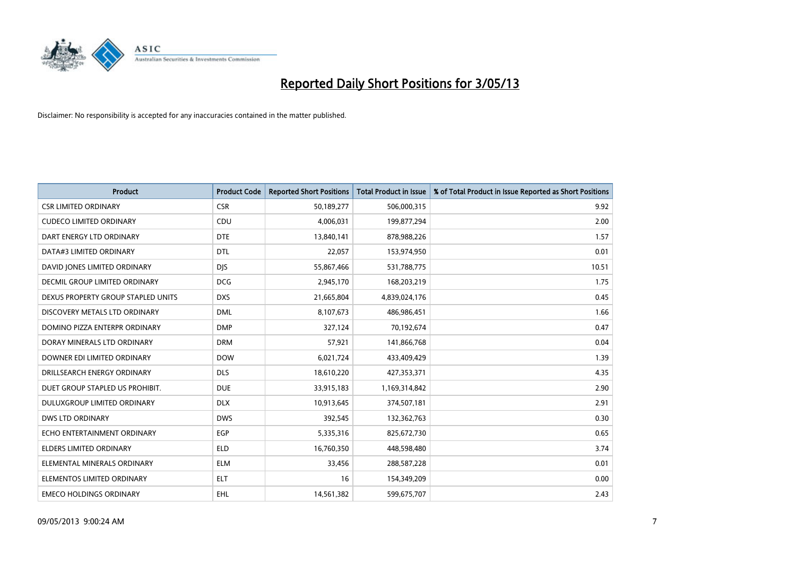

| <b>Product</b>                     | <b>Product Code</b> | <b>Reported Short Positions</b> | <b>Total Product in Issue</b> | % of Total Product in Issue Reported as Short Positions |
|------------------------------------|---------------------|---------------------------------|-------------------------------|---------------------------------------------------------|
| <b>CSR LIMITED ORDINARY</b>        | <b>CSR</b>          | 50,189,277                      | 506,000,315                   | 9.92                                                    |
| <b>CUDECO LIMITED ORDINARY</b>     | <b>CDU</b>          | 4,006,031                       | 199,877,294                   | 2.00                                                    |
| DART ENERGY LTD ORDINARY           | <b>DTE</b>          | 13,840,141                      | 878,988,226                   | 1.57                                                    |
| DATA#3 LIMITED ORDINARY            | <b>DTL</b>          | 22,057                          | 153,974,950                   | 0.01                                                    |
| DAVID JONES LIMITED ORDINARY       | <b>DIS</b>          | 55,867,466                      | 531,788,775                   | 10.51                                                   |
| DECMIL GROUP LIMITED ORDINARY      | <b>DCG</b>          | 2,945,170                       | 168,203,219                   | 1.75                                                    |
| DEXUS PROPERTY GROUP STAPLED UNITS | <b>DXS</b>          | 21,665,804                      | 4,839,024,176                 | 0.45                                                    |
| DISCOVERY METALS LTD ORDINARY      | <b>DML</b>          | 8,107,673                       | 486,986,451                   | 1.66                                                    |
| DOMINO PIZZA ENTERPR ORDINARY      | <b>DMP</b>          | 327,124                         | 70,192,674                    | 0.47                                                    |
| DORAY MINERALS LTD ORDINARY        | <b>DRM</b>          | 57,921                          | 141,866,768                   | 0.04                                                    |
| DOWNER EDI LIMITED ORDINARY        | <b>DOW</b>          | 6,021,724                       | 433,409,429                   | 1.39                                                    |
| DRILLSEARCH ENERGY ORDINARY        | <b>DLS</b>          | 18,610,220                      | 427,353,371                   | 4.35                                                    |
| DUET GROUP STAPLED US PROHIBIT.    | <b>DUE</b>          | 33,915,183                      | 1,169,314,842                 | 2.90                                                    |
| DULUXGROUP LIMITED ORDINARY        | <b>DLX</b>          | 10,913,645                      | 374,507,181                   | 2.91                                                    |
| <b>DWS LTD ORDINARY</b>            | <b>DWS</b>          | 392,545                         | 132,362,763                   | 0.30                                                    |
| ECHO ENTERTAINMENT ORDINARY        | <b>EGP</b>          | 5,335,316                       | 825,672,730                   | 0.65                                                    |
| ELDERS LIMITED ORDINARY            | <b>ELD</b>          | 16,760,350                      | 448,598,480                   | 3.74                                                    |
| ELEMENTAL MINERALS ORDINARY        | <b>ELM</b>          | 33,456                          | 288,587,228                   | 0.01                                                    |
| ELEMENTOS LIMITED ORDINARY         | <b>ELT</b>          | 16                              | 154,349,209                   | 0.00                                                    |
| <b>EMECO HOLDINGS ORDINARY</b>     | EHL.                | 14,561,382                      | 599,675,707                   | 2.43                                                    |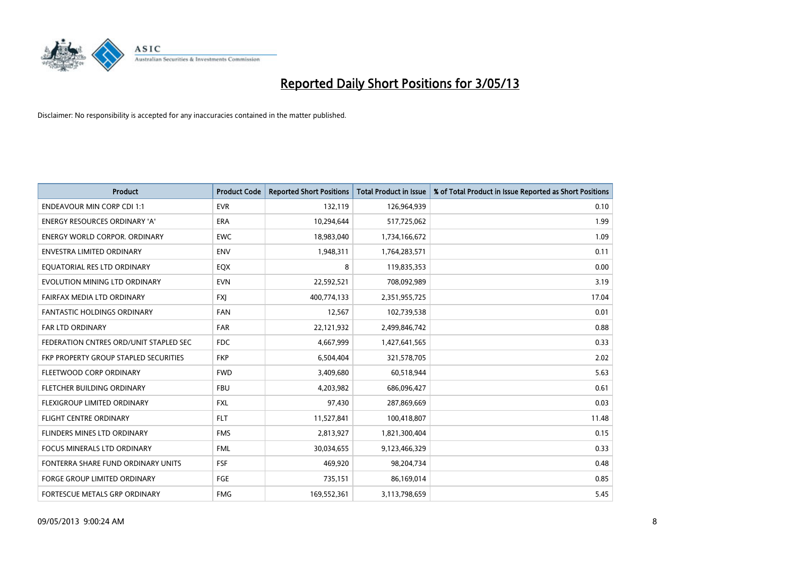

| <b>Product</b>                         | <b>Product Code</b> | <b>Reported Short Positions</b> | <b>Total Product in Issue</b> | % of Total Product in Issue Reported as Short Positions |
|----------------------------------------|---------------------|---------------------------------|-------------------------------|---------------------------------------------------------|
| <b>ENDEAVOUR MIN CORP CDI 1:1</b>      | <b>EVR</b>          | 132,119                         | 126,964,939                   | 0.10                                                    |
| ENERGY RESOURCES ORDINARY 'A'          | ERA                 | 10,294,644                      | 517,725,062                   | 1.99                                                    |
| <b>ENERGY WORLD CORPOR, ORDINARY</b>   | <b>EWC</b>          | 18,983,040                      | 1,734,166,672                 | 1.09                                                    |
| ENVESTRA LIMITED ORDINARY              | <b>ENV</b>          | 1,948,311                       | 1,764,283,571                 | 0.11                                                    |
| EQUATORIAL RES LTD ORDINARY            | EQX                 | 8                               | 119,835,353                   | 0.00                                                    |
| EVOLUTION MINING LTD ORDINARY          | <b>EVN</b>          | 22,592,521                      | 708,092,989                   | 3.19                                                    |
| FAIRFAX MEDIA LTD ORDINARY             | <b>FXI</b>          | 400,774,133                     | 2,351,955,725                 | 17.04                                                   |
| FANTASTIC HOLDINGS ORDINARY            | <b>FAN</b>          | 12,567                          | 102,739,538                   | 0.01                                                    |
| <b>FAR LTD ORDINARY</b>                | <b>FAR</b>          | 22,121,932                      | 2,499,846,742                 | 0.88                                                    |
| FEDERATION CNTRES ORD/UNIT STAPLED SEC | <b>FDC</b>          | 4,667,999                       | 1,427,641,565                 | 0.33                                                    |
| FKP PROPERTY GROUP STAPLED SECURITIES  | <b>FKP</b>          | 6,504,404                       | 321,578,705                   | 2.02                                                    |
| FLEETWOOD CORP ORDINARY                | <b>FWD</b>          | 3,409,680                       | 60,518,944                    | 5.63                                                    |
| FLETCHER BUILDING ORDINARY             | <b>FBU</b>          | 4,203,982                       | 686,096,427                   | 0.61                                                    |
| FLEXIGROUP LIMITED ORDINARY            | <b>FXL</b>          | 97,430                          | 287,869,669                   | 0.03                                                    |
| <b>FLIGHT CENTRE ORDINARY</b>          | <b>FLT</b>          | 11,527,841                      | 100,418,807                   | 11.48                                                   |
| FLINDERS MINES LTD ORDINARY            | <b>FMS</b>          | 2,813,927                       | 1,821,300,404                 | 0.15                                                    |
| FOCUS MINERALS LTD ORDINARY            | <b>FML</b>          | 30,034,655                      | 9,123,466,329                 | 0.33                                                    |
| FONTERRA SHARE FUND ORDINARY UNITS     | <b>FSF</b>          | 469,920                         | 98,204,734                    | 0.48                                                    |
| FORGE GROUP LIMITED ORDINARY           | FGE                 | 735,151                         | 86,169,014                    | 0.85                                                    |
| FORTESCUE METALS GRP ORDINARY          | <b>FMG</b>          | 169,552,361                     | 3,113,798,659                 | 5.45                                                    |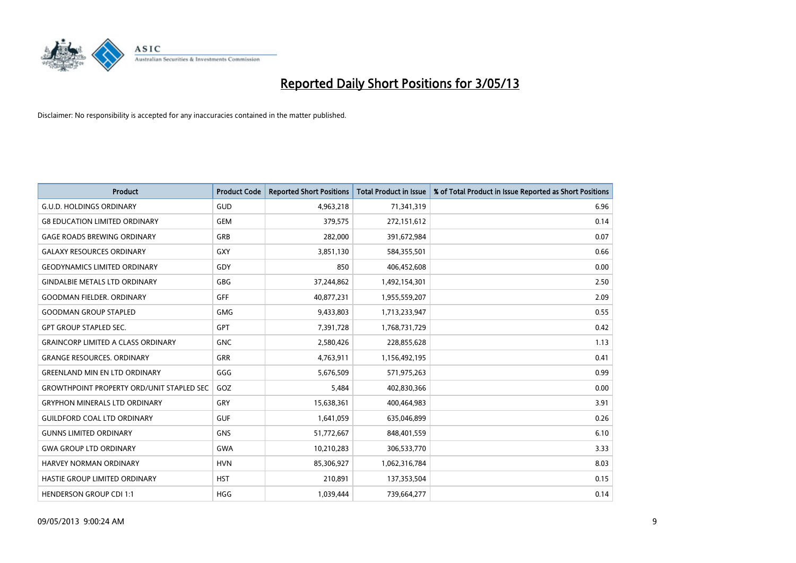

| <b>Product</b>                                   | <b>Product Code</b> | <b>Reported Short Positions</b> | <b>Total Product in Issue</b> | % of Total Product in Issue Reported as Short Positions |
|--------------------------------------------------|---------------------|---------------------------------|-------------------------------|---------------------------------------------------------|
| <b>G.U.D. HOLDINGS ORDINARY</b>                  | GUD                 | 4,963,218                       | 71,341,319                    | 6.96                                                    |
| <b>G8 EDUCATION LIMITED ORDINARY</b>             | <b>GEM</b>          | 379,575                         | 272,151,612                   | 0.14                                                    |
| <b>GAGE ROADS BREWING ORDINARY</b>               | GRB                 | 282,000                         | 391,672,984                   | 0.07                                                    |
| <b>GALAXY RESOURCES ORDINARY</b>                 | <b>GXY</b>          | 3,851,130                       | 584,355,501                   | 0.66                                                    |
| <b>GEODYNAMICS LIMITED ORDINARY</b>              | GDY                 | 850                             | 406,452,608                   | 0.00                                                    |
| <b>GINDALBIE METALS LTD ORDINARY</b>             | <b>GBG</b>          | 37,244,862                      | 1,492,154,301                 | 2.50                                                    |
| <b>GOODMAN FIELDER, ORDINARY</b>                 | <b>GFF</b>          | 40,877,231                      | 1,955,559,207                 | 2.09                                                    |
| <b>GOODMAN GROUP STAPLED</b>                     | <b>GMG</b>          | 9,433,803                       | 1,713,233,947                 | 0.55                                                    |
| <b>GPT GROUP STAPLED SEC.</b>                    | GPT                 | 7,391,728                       | 1,768,731,729                 | 0.42                                                    |
| <b>GRAINCORP LIMITED A CLASS ORDINARY</b>        | <b>GNC</b>          | 2,580,426                       | 228,855,628                   | 1.13                                                    |
| <b>GRANGE RESOURCES. ORDINARY</b>                | GRR                 | 4,763,911                       | 1,156,492,195                 | 0.41                                                    |
| <b>GREENLAND MIN EN LTD ORDINARY</b>             | GGG                 | 5,676,509                       | 571,975,263                   | 0.99                                                    |
| <b>GROWTHPOINT PROPERTY ORD/UNIT STAPLED SEC</b> | GOZ                 | 5,484                           | 402,830,366                   | 0.00                                                    |
| <b>GRYPHON MINERALS LTD ORDINARY</b>             | GRY                 | 15,638,361                      | 400,464,983                   | 3.91                                                    |
| <b>GUILDFORD COAL LTD ORDINARY</b>               | <b>GUF</b>          | 1,641,059                       | 635,046,899                   | 0.26                                                    |
| <b>GUNNS LIMITED ORDINARY</b>                    | <b>GNS</b>          | 51,772,667                      | 848,401,559                   | 6.10                                                    |
| <b>GWA GROUP LTD ORDINARY</b>                    | GWA                 | 10,210,283                      | 306,533,770                   | 3.33                                                    |
| <b>HARVEY NORMAN ORDINARY</b>                    | <b>HVN</b>          | 85,306,927                      | 1,062,316,784                 | 8.03                                                    |
| HASTIE GROUP LIMITED ORDINARY                    | <b>HST</b>          | 210,891                         | 137,353,504                   | 0.15                                                    |
| <b>HENDERSON GROUP CDI 1:1</b>                   | <b>HGG</b>          | 1,039,444                       | 739,664,277                   | 0.14                                                    |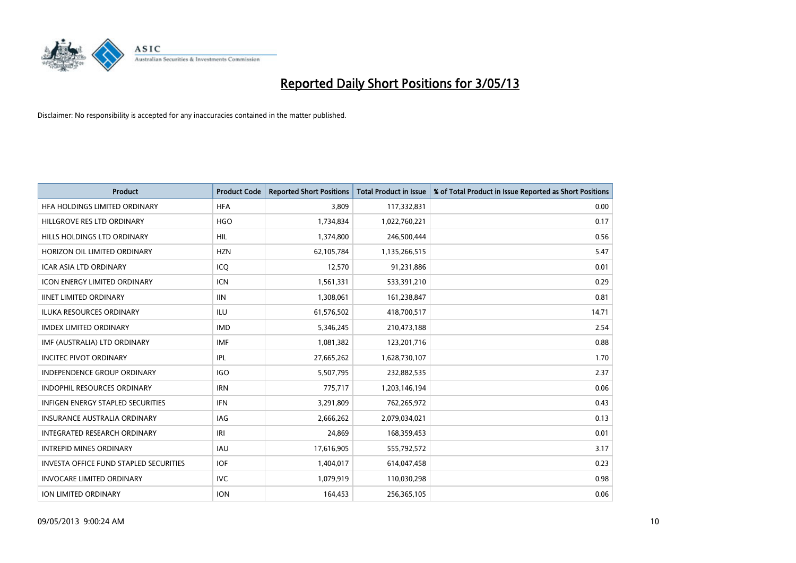

| <b>Product</b>                                | <b>Product Code</b> | <b>Reported Short Positions</b> | <b>Total Product in Issue</b> | % of Total Product in Issue Reported as Short Positions |
|-----------------------------------------------|---------------------|---------------------------------|-------------------------------|---------------------------------------------------------|
| HFA HOLDINGS LIMITED ORDINARY                 | <b>HFA</b>          | 3,809                           | 117,332,831                   | 0.00                                                    |
| HILLGROVE RES LTD ORDINARY                    | <b>HGO</b>          | 1,734,834                       | 1,022,760,221                 | 0.17                                                    |
| HILLS HOLDINGS LTD ORDINARY                   | <b>HIL</b>          | 1,374,800                       | 246,500,444                   | 0.56                                                    |
| HORIZON OIL LIMITED ORDINARY                  | <b>HZN</b>          | 62,105,784                      | 1,135,266,515                 | 5.47                                                    |
| <b>ICAR ASIA LTD ORDINARY</b>                 | ICQ                 | 12,570                          | 91,231,886                    | 0.01                                                    |
| <b>ICON ENERGY LIMITED ORDINARY</b>           | <b>ICN</b>          | 1,561,331                       | 533,391,210                   | 0.29                                                    |
| <b>IINET LIMITED ORDINARY</b>                 | <b>IIN</b>          | 1,308,061                       | 161,238,847                   | 0.81                                                    |
| ILUKA RESOURCES ORDINARY                      | ILU                 | 61,576,502                      | 418,700,517                   | 14.71                                                   |
| <b>IMDEX LIMITED ORDINARY</b>                 | <b>IMD</b>          | 5,346,245                       | 210,473,188                   | 2.54                                                    |
| IMF (AUSTRALIA) LTD ORDINARY                  | <b>IMF</b>          | 1,081,382                       | 123,201,716                   | 0.88                                                    |
| <b>INCITEC PIVOT ORDINARY</b>                 | IPL                 | 27,665,262                      | 1,628,730,107                 | 1.70                                                    |
| <b>INDEPENDENCE GROUP ORDINARY</b>            | <b>IGO</b>          | 5,507,795                       | 232,882,535                   | 2.37                                                    |
| <b>INDOPHIL RESOURCES ORDINARY</b>            | <b>IRN</b>          | 775,717                         | 1,203,146,194                 | 0.06                                                    |
| <b>INFIGEN ENERGY STAPLED SECURITIES</b>      | <b>IFN</b>          | 3,291,809                       | 762,265,972                   | 0.43                                                    |
| <b>INSURANCE AUSTRALIA ORDINARY</b>           | <b>IAG</b>          | 2,666,262                       | 2,079,034,021                 | 0.13                                                    |
| INTEGRATED RESEARCH ORDINARY                  | IRI                 | 24,869                          | 168,359,453                   | 0.01                                                    |
| <b>INTREPID MINES ORDINARY</b>                | <b>IAU</b>          | 17,616,905                      | 555,792,572                   | 3.17                                                    |
| <b>INVESTA OFFICE FUND STAPLED SECURITIES</b> | <b>IOF</b>          | 1,404,017                       | 614,047,458                   | 0.23                                                    |
| <b>INVOCARE LIMITED ORDINARY</b>              | <b>IVC</b>          | 1,079,919                       | 110,030,298                   | 0.98                                                    |
| ION LIMITED ORDINARY                          | <b>ION</b>          | 164,453                         | 256,365,105                   | 0.06                                                    |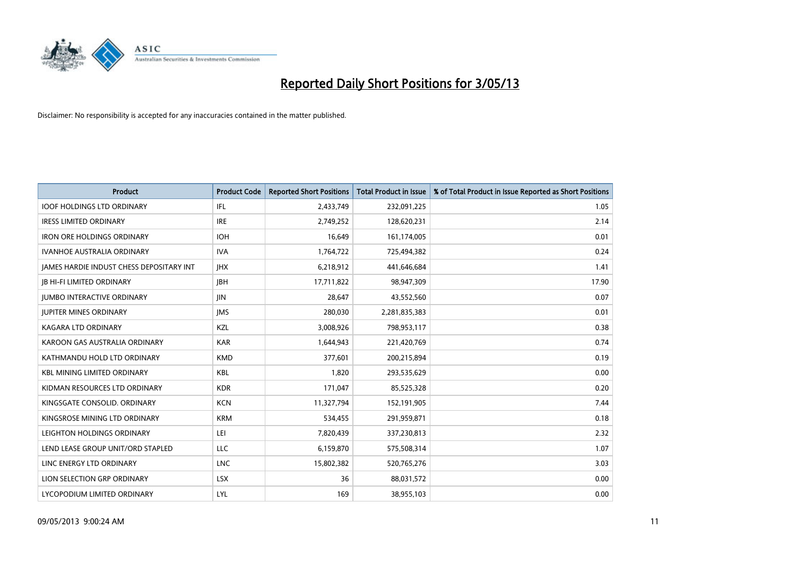

| <b>Product</b>                           | <b>Product Code</b> | <b>Reported Short Positions</b> | <b>Total Product in Issue</b> | % of Total Product in Issue Reported as Short Positions |
|------------------------------------------|---------------------|---------------------------------|-------------------------------|---------------------------------------------------------|
| <b>IOOF HOLDINGS LTD ORDINARY</b>        | IFL                 | 2,433,749                       | 232,091,225                   | 1.05                                                    |
| <b>IRESS LIMITED ORDINARY</b>            | <b>IRE</b>          | 2,749,252                       | 128,620,231                   | 2.14                                                    |
| <b>IRON ORE HOLDINGS ORDINARY</b>        | <b>IOH</b>          | 16,649                          | 161,174,005                   | 0.01                                                    |
| <b>IVANHOE AUSTRALIA ORDINARY</b>        | <b>IVA</b>          | 1,764,722                       | 725,494,382                   | 0.24                                                    |
| JAMES HARDIE INDUST CHESS DEPOSITARY INT | <b>IHX</b>          | 6,218,912                       | 441,646,684                   | 1.41                                                    |
| <b>JB HI-FI LIMITED ORDINARY</b>         | <b>IBH</b>          | 17,711,822                      | 98,947,309                    | 17.90                                                   |
| <b>JUMBO INTERACTIVE ORDINARY</b>        | <b>JIN</b>          | 28,647                          | 43,552,560                    | 0.07                                                    |
| <b>JUPITER MINES ORDINARY</b>            | <b>IMS</b>          | 280,030                         | 2,281,835,383                 | 0.01                                                    |
| <b>KAGARA LTD ORDINARY</b>               | KZL                 | 3,008,926                       | 798,953,117                   | 0.38                                                    |
| KAROON GAS AUSTRALIA ORDINARY            | <b>KAR</b>          | 1,644,943                       | 221,420,769                   | 0.74                                                    |
| KATHMANDU HOLD LTD ORDINARY              | <b>KMD</b>          | 377,601                         | 200,215,894                   | 0.19                                                    |
| <b>KBL MINING LIMITED ORDINARY</b>       | <b>KBL</b>          | 1,820                           | 293,535,629                   | 0.00                                                    |
| KIDMAN RESOURCES LTD ORDINARY            | <b>KDR</b>          | 171,047                         | 85,525,328                    | 0.20                                                    |
| KINGSGATE CONSOLID. ORDINARY             | <b>KCN</b>          | 11,327,794                      | 152,191,905                   | 7.44                                                    |
| KINGSROSE MINING LTD ORDINARY            | <b>KRM</b>          | 534,455                         | 291,959,871                   | 0.18                                                    |
| LEIGHTON HOLDINGS ORDINARY               | LEI                 | 7,820,439                       | 337,230,813                   | 2.32                                                    |
| LEND LEASE GROUP UNIT/ORD STAPLED        | LLC                 | 6,159,870                       | 575,508,314                   | 1.07                                                    |
| LINC ENERGY LTD ORDINARY                 | <b>LNC</b>          | 15,802,382                      | 520,765,276                   | 3.03                                                    |
| LION SELECTION GRP ORDINARY              | <b>LSX</b>          | 36                              | 88,031,572                    | 0.00                                                    |
| LYCOPODIUM LIMITED ORDINARY              | LYL                 | 169                             | 38,955,103                    | 0.00                                                    |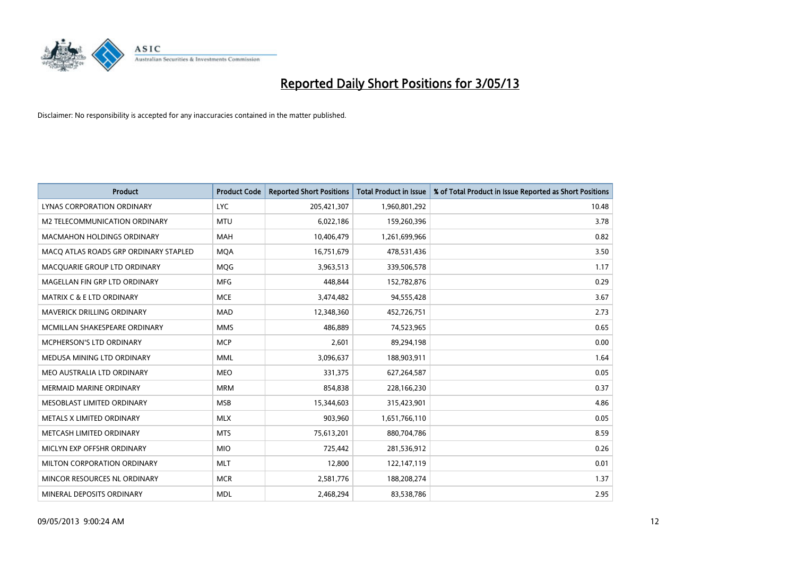

| <b>Product</b>                        | <b>Product Code</b> | <b>Reported Short Positions</b> | <b>Total Product in Issue</b> | % of Total Product in Issue Reported as Short Positions |
|---------------------------------------|---------------------|---------------------------------|-------------------------------|---------------------------------------------------------|
| LYNAS CORPORATION ORDINARY            | <b>LYC</b>          | 205,421,307                     | 1,960,801,292                 | 10.48                                                   |
| M2 TELECOMMUNICATION ORDINARY         | MTU                 | 6,022,186                       | 159,260,396                   | 3.78                                                    |
| <b>MACMAHON HOLDINGS ORDINARY</b>     | <b>MAH</b>          | 10,406,479                      | 1,261,699,966                 | 0.82                                                    |
| MACO ATLAS ROADS GRP ORDINARY STAPLED | <b>MQA</b>          | 16,751,679                      | 478,531,436                   | 3.50                                                    |
| MACQUARIE GROUP LTD ORDINARY          | <b>MOG</b>          | 3,963,513                       | 339,506,578                   | 1.17                                                    |
| MAGELLAN FIN GRP LTD ORDINARY         | <b>MFG</b>          | 448.844                         | 152,782,876                   | 0.29                                                    |
| <b>MATRIX C &amp; E LTD ORDINARY</b>  | <b>MCE</b>          | 3,474,482                       | 94,555,428                    | 3.67                                                    |
| MAVERICK DRILLING ORDINARY            | <b>MAD</b>          | 12,348,360                      | 452,726,751                   | 2.73                                                    |
| MCMILLAN SHAKESPEARE ORDINARY         | <b>MMS</b>          | 486.889                         | 74,523,965                    | 0.65                                                    |
| MCPHERSON'S LTD ORDINARY              | <b>MCP</b>          | 2,601                           | 89,294,198                    | 0.00                                                    |
| MEDUSA MINING LTD ORDINARY            | MML                 | 3,096,637                       | 188,903,911                   | 1.64                                                    |
| MEO AUSTRALIA LTD ORDINARY            | <b>MEO</b>          | 331,375                         | 627,264,587                   | 0.05                                                    |
| MERMAID MARINE ORDINARY               | <b>MRM</b>          | 854,838                         | 228,166,230                   | 0.37                                                    |
| MESOBLAST LIMITED ORDINARY            | <b>MSB</b>          | 15,344,603                      | 315,423,901                   | 4.86                                                    |
| METALS X LIMITED ORDINARY             | <b>MLX</b>          | 903,960                         | 1,651,766,110                 | 0.05                                                    |
| METCASH LIMITED ORDINARY              | <b>MTS</b>          | 75,613,201                      | 880,704,786                   | 8.59                                                    |
| MICLYN EXP OFFSHR ORDINARY            | <b>MIO</b>          | 725,442                         | 281,536,912                   | 0.26                                                    |
| MILTON CORPORATION ORDINARY           | <b>MLT</b>          | 12,800                          | 122,147,119                   | 0.01                                                    |
| MINCOR RESOURCES NL ORDINARY          | <b>MCR</b>          | 2,581,776                       | 188,208,274                   | 1.37                                                    |
| MINERAL DEPOSITS ORDINARY             | <b>MDL</b>          | 2,468,294                       | 83,538,786                    | 2.95                                                    |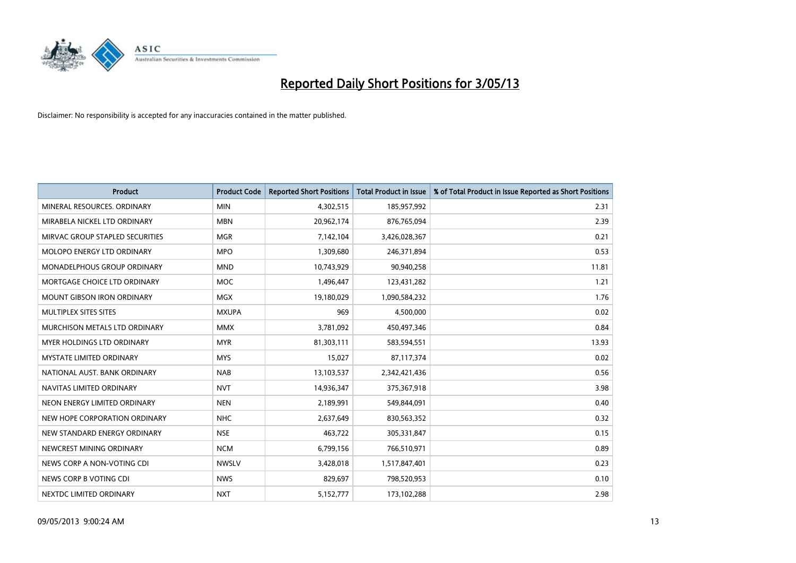

| <b>Product</b>                    | <b>Product Code</b> | <b>Reported Short Positions</b> | <b>Total Product in Issue</b> | % of Total Product in Issue Reported as Short Positions |
|-----------------------------------|---------------------|---------------------------------|-------------------------------|---------------------------------------------------------|
| MINERAL RESOURCES, ORDINARY       | <b>MIN</b>          | 4,302,515                       | 185,957,992                   | 2.31                                                    |
| MIRABELA NICKEL LTD ORDINARY      | <b>MBN</b>          | 20,962,174                      | 876,765,094                   | 2.39                                                    |
| MIRVAC GROUP STAPLED SECURITIES   | <b>MGR</b>          | 7,142,104                       | 3,426,028,367                 | 0.21                                                    |
| MOLOPO ENERGY LTD ORDINARY        | <b>MPO</b>          | 1,309,680                       | 246,371,894                   | 0.53                                                    |
| MONADELPHOUS GROUP ORDINARY       | <b>MND</b>          | 10,743,929                      | 90,940,258                    | 11.81                                                   |
| MORTGAGE CHOICE LTD ORDINARY      | <b>MOC</b>          | 1,496,447                       | 123,431,282                   | 1.21                                                    |
| <b>MOUNT GIBSON IRON ORDINARY</b> | <b>MGX</b>          | 19,180,029                      | 1,090,584,232                 | 1.76                                                    |
| MULTIPLEX SITES SITES             | <b>MXUPA</b>        | 969                             | 4,500,000                     | 0.02                                                    |
| MURCHISON METALS LTD ORDINARY     | <b>MMX</b>          | 3,781,092                       | 450,497,346                   | 0.84                                                    |
| MYER HOLDINGS LTD ORDINARY        | <b>MYR</b>          | 81,303,111                      | 583,594,551                   | 13.93                                                   |
| <b>MYSTATE LIMITED ORDINARY</b>   | <b>MYS</b>          | 15,027                          | 87,117,374                    | 0.02                                                    |
| NATIONAL AUST. BANK ORDINARY      | <b>NAB</b>          | 13,103,537                      | 2,342,421,436                 | 0.56                                                    |
| NAVITAS LIMITED ORDINARY          | <b>NVT</b>          | 14,936,347                      | 375,367,918                   | 3.98                                                    |
| NEON ENERGY LIMITED ORDINARY      | <b>NEN</b>          | 2,189,991                       | 549,844,091                   | 0.40                                                    |
| NEW HOPE CORPORATION ORDINARY     | <b>NHC</b>          | 2,637,649                       | 830,563,352                   | 0.32                                                    |
| NEW STANDARD ENERGY ORDINARY      | <b>NSE</b>          | 463,722                         | 305,331,847                   | 0.15                                                    |
| NEWCREST MINING ORDINARY          | <b>NCM</b>          | 6,799,156                       | 766,510,971                   | 0.89                                                    |
| NEWS CORP A NON-VOTING CDI        | <b>NWSLV</b>        | 3,428,018                       | 1,517,847,401                 | 0.23                                                    |
| NEWS CORP B VOTING CDI            | <b>NWS</b>          | 829,697                         | 798,520,953                   | 0.10                                                    |
| NEXTDC LIMITED ORDINARY           | <b>NXT</b>          | 5,152,777                       | 173,102,288                   | 2.98                                                    |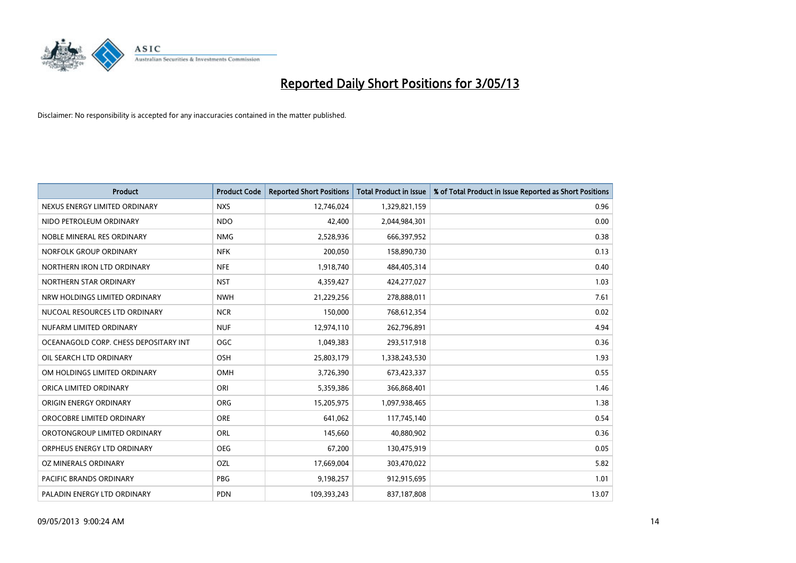

| <b>Product</b>                        | <b>Product Code</b> | <b>Reported Short Positions</b> | <b>Total Product in Issue</b> | % of Total Product in Issue Reported as Short Positions |
|---------------------------------------|---------------------|---------------------------------|-------------------------------|---------------------------------------------------------|
| NEXUS ENERGY LIMITED ORDINARY         | <b>NXS</b>          | 12,746,024                      | 1,329,821,159                 | 0.96                                                    |
| NIDO PETROLEUM ORDINARY               | <b>NDO</b>          | 42,400                          | 2,044,984,301                 | 0.00                                                    |
| NOBLE MINERAL RES ORDINARY            | <b>NMG</b>          | 2,528,936                       | 666,397,952                   | 0.38                                                    |
| NORFOLK GROUP ORDINARY                | <b>NFK</b>          | 200,050                         | 158,890,730                   | 0.13                                                    |
| NORTHERN IRON LTD ORDINARY            | <b>NFE</b>          | 1,918,740                       | 484,405,314                   | 0.40                                                    |
| NORTHERN STAR ORDINARY                | <b>NST</b>          | 4,359,427                       | 424,277,027                   | 1.03                                                    |
| NRW HOLDINGS LIMITED ORDINARY         | <b>NWH</b>          | 21,229,256                      | 278,888,011                   | 7.61                                                    |
| NUCOAL RESOURCES LTD ORDINARY         | <b>NCR</b>          | 150,000                         | 768,612,354                   | 0.02                                                    |
| NUFARM LIMITED ORDINARY               | <b>NUF</b>          | 12,974,110                      | 262,796,891                   | 4.94                                                    |
| OCEANAGOLD CORP. CHESS DEPOSITARY INT | <b>OGC</b>          | 1,049,383                       | 293,517,918                   | 0.36                                                    |
| OIL SEARCH LTD ORDINARY               | OSH                 | 25,803,179                      | 1,338,243,530                 | 1.93                                                    |
| OM HOLDINGS LIMITED ORDINARY          | OMH                 | 3,726,390                       | 673,423,337                   | 0.55                                                    |
| ORICA LIMITED ORDINARY                | ORI                 | 5,359,386                       | 366,868,401                   | 1.46                                                    |
| ORIGIN ENERGY ORDINARY                | <b>ORG</b>          | 15,205,975                      | 1,097,938,465                 | 1.38                                                    |
| OROCOBRE LIMITED ORDINARY             | <b>ORE</b>          | 641,062                         | 117,745,140                   | 0.54                                                    |
| OROTONGROUP LIMITED ORDINARY          | ORL                 | 145,660                         | 40,880,902                    | 0.36                                                    |
| ORPHEUS ENERGY LTD ORDINARY           | <b>OEG</b>          | 67,200                          | 130,475,919                   | 0.05                                                    |
| <b>OZ MINERALS ORDINARY</b>           | OZL                 | 17,669,004                      | 303,470,022                   | 5.82                                                    |
| <b>PACIFIC BRANDS ORDINARY</b>        | <b>PBG</b>          | 9,198,257                       | 912,915,695                   | 1.01                                                    |
| PALADIN ENERGY LTD ORDINARY           | <b>PDN</b>          | 109,393,243                     | 837,187,808                   | 13.07                                                   |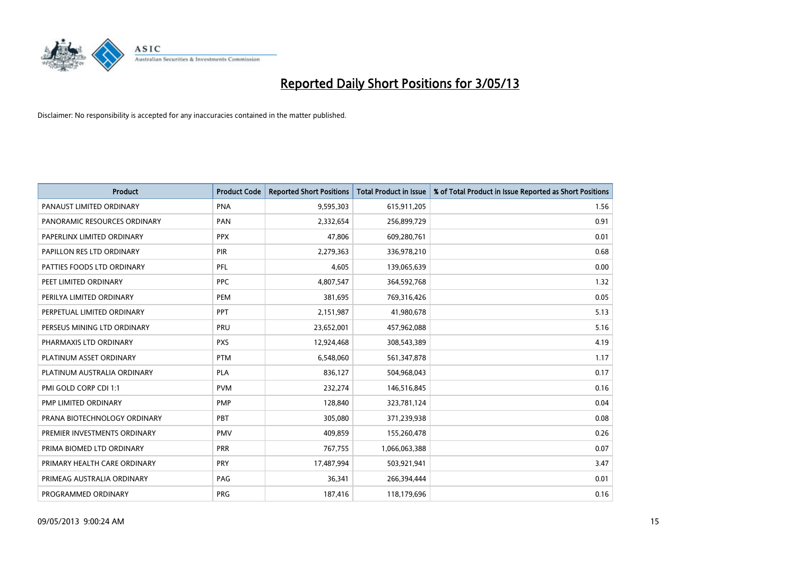

| <b>Product</b>               | <b>Product Code</b> | <b>Reported Short Positions</b> | <b>Total Product in Issue</b> | % of Total Product in Issue Reported as Short Positions |
|------------------------------|---------------------|---------------------------------|-------------------------------|---------------------------------------------------------|
| PANAUST LIMITED ORDINARY     | <b>PNA</b>          | 9,595,303                       | 615,911,205                   | 1.56                                                    |
| PANORAMIC RESOURCES ORDINARY | <b>PAN</b>          | 2,332,654                       | 256,899,729                   | 0.91                                                    |
| PAPERLINX LIMITED ORDINARY   | <b>PPX</b>          | 47,806                          | 609,280,761                   | 0.01                                                    |
| PAPILLON RES LTD ORDINARY    | <b>PIR</b>          | 2,279,363                       | 336,978,210                   | 0.68                                                    |
| PATTIES FOODS LTD ORDINARY   | PFL                 | 4,605                           | 139,065,639                   | 0.00                                                    |
| PEET LIMITED ORDINARY        | <b>PPC</b>          | 4,807,547                       | 364,592,768                   | 1.32                                                    |
| PERILYA LIMITED ORDINARY     | <b>PEM</b>          | 381,695                         | 769,316,426                   | 0.05                                                    |
| PERPETUAL LIMITED ORDINARY   | PPT                 | 2,151,987                       | 41,980,678                    | 5.13                                                    |
| PERSEUS MINING LTD ORDINARY  | PRU                 | 23,652,001                      | 457,962,088                   | 5.16                                                    |
| PHARMAXIS LTD ORDINARY       | <b>PXS</b>          | 12,924,468                      | 308,543,389                   | 4.19                                                    |
| PLATINUM ASSET ORDINARY      | <b>PTM</b>          | 6,548,060                       | 561,347,878                   | 1.17                                                    |
| PLATINUM AUSTRALIA ORDINARY  | <b>PLA</b>          | 836,127                         | 504,968,043                   | 0.17                                                    |
| PMI GOLD CORP CDI 1:1        | <b>PVM</b>          | 232,274                         | 146,516,845                   | 0.16                                                    |
| PMP LIMITED ORDINARY         | <b>PMP</b>          | 128,840                         | 323,781,124                   | 0.04                                                    |
| PRANA BIOTECHNOLOGY ORDINARY | <b>PBT</b>          | 305,080                         | 371,239,938                   | 0.08                                                    |
| PREMIER INVESTMENTS ORDINARY | <b>PMV</b>          | 409,859                         | 155,260,478                   | 0.26                                                    |
| PRIMA BIOMED LTD ORDINARY    | <b>PRR</b>          | 767,755                         | 1,066,063,388                 | 0.07                                                    |
| PRIMARY HEALTH CARE ORDINARY | PRY                 | 17,487,994                      | 503,921,941                   | 3.47                                                    |
| PRIMEAG AUSTRALIA ORDINARY   | PAG                 | 36,341                          | 266,394,444                   | 0.01                                                    |
| PROGRAMMED ORDINARY          | <b>PRG</b>          | 187,416                         | 118,179,696                   | 0.16                                                    |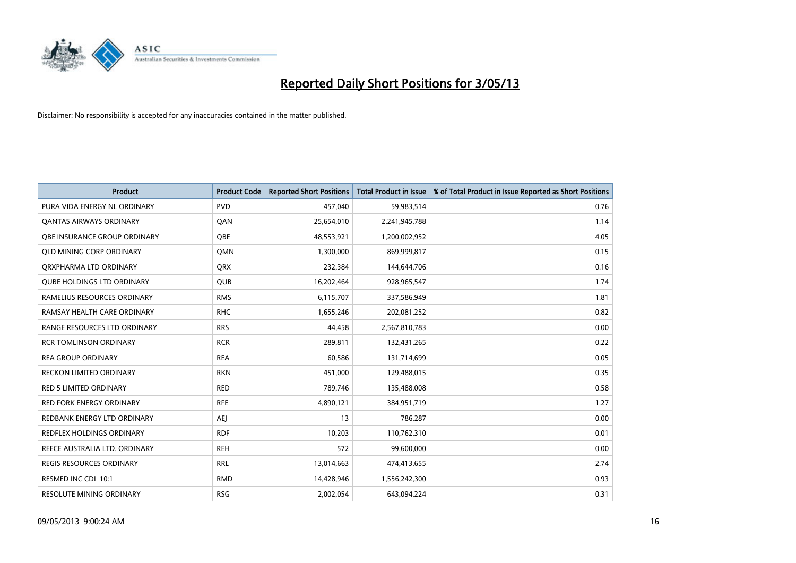

| <b>Product</b>                      | <b>Product Code</b> | <b>Reported Short Positions</b> | <b>Total Product in Issue</b> | % of Total Product in Issue Reported as Short Positions |
|-------------------------------------|---------------------|---------------------------------|-------------------------------|---------------------------------------------------------|
| PURA VIDA ENERGY NL ORDINARY        | <b>PVD</b>          | 457,040                         | 59,983,514                    | 0.76                                                    |
| <b>QANTAS AIRWAYS ORDINARY</b>      | QAN                 | 25,654,010                      | 2,241,945,788                 | 1.14                                                    |
| <b>OBE INSURANCE GROUP ORDINARY</b> | <b>OBE</b>          | 48,553,921                      | 1,200,002,952                 | 4.05                                                    |
| <b>QLD MINING CORP ORDINARY</b>     | <b>OMN</b>          | 1,300,000                       | 869,999,817                   | 0.15                                                    |
| ORXPHARMA LTD ORDINARY              | <b>QRX</b>          | 232,384                         | 144,644,706                   | 0.16                                                    |
| <b>QUBE HOLDINGS LTD ORDINARY</b>   | <b>QUB</b>          | 16,202,464                      | 928,965,547                   | 1.74                                                    |
| RAMELIUS RESOURCES ORDINARY         | <b>RMS</b>          | 6,115,707                       | 337,586,949                   | 1.81                                                    |
| RAMSAY HEALTH CARE ORDINARY         | <b>RHC</b>          | 1,655,246                       | 202,081,252                   | 0.82                                                    |
| RANGE RESOURCES LTD ORDINARY        | <b>RRS</b>          | 44,458                          | 2,567,810,783                 | 0.00                                                    |
| <b>RCR TOMLINSON ORDINARY</b>       | <b>RCR</b>          | 289,811                         | 132,431,265                   | 0.22                                                    |
| <b>REA GROUP ORDINARY</b>           | <b>REA</b>          | 60,586                          | 131,714,699                   | 0.05                                                    |
| <b>RECKON LIMITED ORDINARY</b>      | <b>RKN</b>          | 451,000                         | 129,488,015                   | 0.35                                                    |
| <b>RED 5 LIMITED ORDINARY</b>       | <b>RED</b>          | 789,746                         | 135,488,008                   | 0.58                                                    |
| <b>RED FORK ENERGY ORDINARY</b>     | <b>RFE</b>          | 4,890,121                       | 384,951,719                   | 1.27                                                    |
| REDBANK ENERGY LTD ORDINARY         | <b>AEJ</b>          | 13                              | 786,287                       | 0.00                                                    |
| REDFLEX HOLDINGS ORDINARY           | <b>RDF</b>          | 10,203                          | 110,762,310                   | 0.01                                                    |
| REECE AUSTRALIA LTD. ORDINARY       | <b>REH</b>          | 572                             | 99,600,000                    | 0.00                                                    |
| REGIS RESOURCES ORDINARY            | <b>RRL</b>          | 13,014,663                      | 474,413,655                   | 2.74                                                    |
| RESMED INC CDI 10:1                 | <b>RMD</b>          | 14,428,946                      | 1,556,242,300                 | 0.93                                                    |
| <b>RESOLUTE MINING ORDINARY</b>     | <b>RSG</b>          | 2,002,054                       | 643,094,224                   | 0.31                                                    |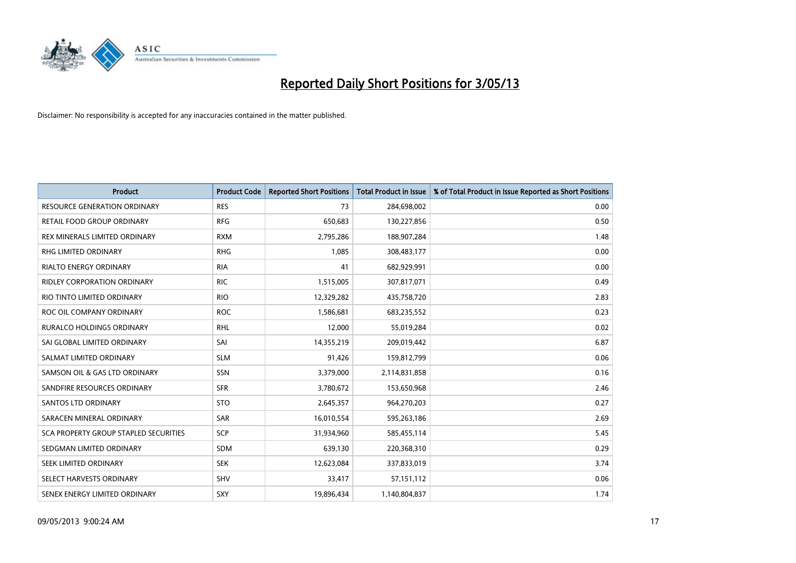

| Product                               | <b>Product Code</b> | <b>Reported Short Positions</b> | <b>Total Product in Issue</b> | % of Total Product in Issue Reported as Short Positions |
|---------------------------------------|---------------------|---------------------------------|-------------------------------|---------------------------------------------------------|
| <b>RESOURCE GENERATION ORDINARY</b>   | <b>RES</b>          | 73                              | 284,698,002                   | 0.00                                                    |
| RETAIL FOOD GROUP ORDINARY            | <b>RFG</b>          | 650,683                         | 130,227,856                   | 0.50                                                    |
| REX MINERALS LIMITED ORDINARY         | <b>RXM</b>          | 2,795,286                       | 188,907,284                   | 1.48                                                    |
| RHG LIMITED ORDINARY                  | <b>RHG</b>          | 1,085                           | 308,483,177                   | 0.00                                                    |
| <b>RIALTO ENERGY ORDINARY</b>         | <b>RIA</b>          | 41                              | 682,929,991                   | 0.00                                                    |
| <b>RIDLEY CORPORATION ORDINARY</b>    | <b>RIC</b>          | 1,515,005                       | 307,817,071                   | 0.49                                                    |
| RIO TINTO LIMITED ORDINARY            | <b>RIO</b>          | 12,329,282                      | 435,758,720                   | 2.83                                                    |
| ROC OIL COMPANY ORDINARY              | <b>ROC</b>          | 1,586,681                       | 683,235,552                   | 0.23                                                    |
| <b>RURALCO HOLDINGS ORDINARY</b>      | <b>RHL</b>          | 12,000                          | 55,019,284                    | 0.02                                                    |
| SAI GLOBAL LIMITED ORDINARY           | SAI                 | 14,355,219                      | 209,019,442                   | 6.87                                                    |
| SALMAT LIMITED ORDINARY               | <b>SLM</b>          | 91,426                          | 159,812,799                   | 0.06                                                    |
| SAMSON OIL & GAS LTD ORDINARY         | SSN                 | 3,379,000                       | 2,114,831,858                 | 0.16                                                    |
| SANDFIRE RESOURCES ORDINARY           | <b>SFR</b>          | 3,780,672                       | 153,650,968                   | 2.46                                                    |
| <b>SANTOS LTD ORDINARY</b>            | <b>STO</b>          | 2,645,357                       | 964,270,203                   | 0.27                                                    |
| SARACEN MINERAL ORDINARY              | SAR                 | 16,010,554                      | 595,263,186                   | 2.69                                                    |
| SCA PROPERTY GROUP STAPLED SECURITIES | SCP                 | 31,934,960                      | 585,455,114                   | 5.45                                                    |
| SEDGMAN LIMITED ORDINARY              | SDM                 | 639,130                         | 220,368,310                   | 0.29                                                    |
| SEEK LIMITED ORDINARY                 | <b>SEK</b>          | 12,623,084                      | 337,833,019                   | 3.74                                                    |
| SELECT HARVESTS ORDINARY              | SHV                 | 33,417                          | 57,151,112                    | 0.06                                                    |
| SENEX ENERGY LIMITED ORDINARY         | <b>SXY</b>          | 19,896,434                      | 1,140,804,837                 | 1.74                                                    |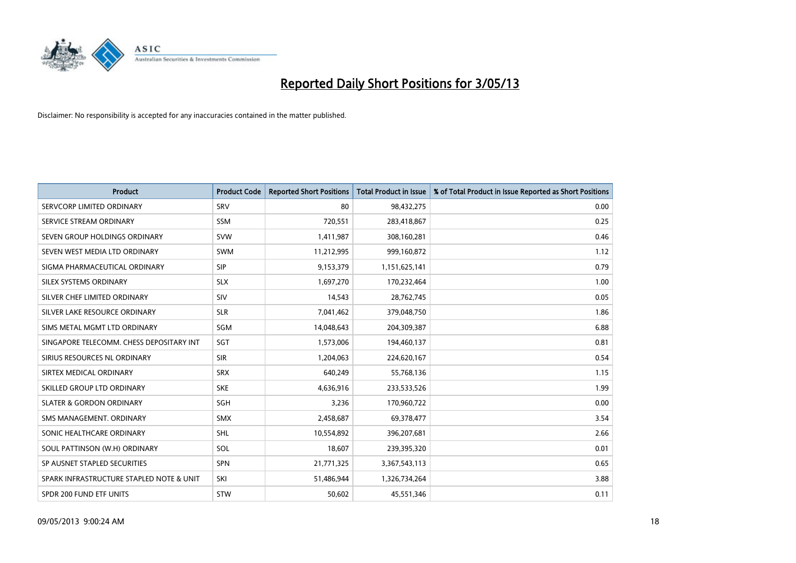

| <b>Product</b>                           | <b>Product Code</b> | <b>Reported Short Positions</b> | <b>Total Product in Issue</b> | % of Total Product in Issue Reported as Short Positions |
|------------------------------------------|---------------------|---------------------------------|-------------------------------|---------------------------------------------------------|
| SERVCORP LIMITED ORDINARY                | SRV                 | 80                              | 98,432,275                    | 0.00                                                    |
| SERVICE STREAM ORDINARY                  | <b>SSM</b>          | 720,551                         | 283,418,867                   | 0.25                                                    |
| SEVEN GROUP HOLDINGS ORDINARY            | <b>SVW</b>          | 1,411,987                       | 308,160,281                   | 0.46                                                    |
| SEVEN WEST MEDIA LTD ORDINARY            | <b>SWM</b>          | 11,212,995                      | 999,160,872                   | 1.12                                                    |
| SIGMA PHARMACEUTICAL ORDINARY            | <b>SIP</b>          | 9,153,379                       | 1,151,625,141                 | 0.79                                                    |
| SILEX SYSTEMS ORDINARY                   | <b>SLX</b>          | 1,697,270                       | 170,232,464                   | 1.00                                                    |
| SILVER CHEF LIMITED ORDINARY             | SIV                 | 14,543                          | 28,762,745                    | 0.05                                                    |
| SILVER LAKE RESOURCE ORDINARY            | <b>SLR</b>          | 7,041,462                       | 379,048,750                   | 1.86                                                    |
| SIMS METAL MGMT LTD ORDINARY             | SGM                 | 14,048,643                      | 204,309,387                   | 6.88                                                    |
| SINGAPORE TELECOMM. CHESS DEPOSITARY INT | SGT                 | 1,573,006                       | 194,460,137                   | 0.81                                                    |
| SIRIUS RESOURCES NL ORDINARY             | <b>SIR</b>          | 1,204,063                       | 224,620,167                   | 0.54                                                    |
| SIRTEX MEDICAL ORDINARY                  | <b>SRX</b>          | 640,249                         | 55,768,136                    | 1.15                                                    |
| SKILLED GROUP LTD ORDINARY               | <b>SKE</b>          | 4,636,916                       | 233,533,526                   | 1.99                                                    |
| <b>SLATER &amp; GORDON ORDINARY</b>      | SGH                 | 3,236                           | 170,960,722                   | 0.00                                                    |
| SMS MANAGEMENT, ORDINARY                 | <b>SMX</b>          | 2,458,687                       | 69,378,477                    | 3.54                                                    |
| SONIC HEALTHCARE ORDINARY                | <b>SHL</b>          | 10,554,892                      | 396,207,681                   | 2.66                                                    |
| SOUL PATTINSON (W.H) ORDINARY            | SOL                 | 18,607                          | 239,395,320                   | 0.01                                                    |
| SP AUSNET STAPLED SECURITIES             | SPN                 | 21,771,325                      | 3,367,543,113                 | 0.65                                                    |
| SPARK INFRASTRUCTURE STAPLED NOTE & UNIT | SKI                 | 51,486,944                      | 1,326,734,264                 | 3.88                                                    |
| SPDR 200 FUND ETF UNITS                  | <b>STW</b>          | 50,602                          | 45,551,346                    | 0.11                                                    |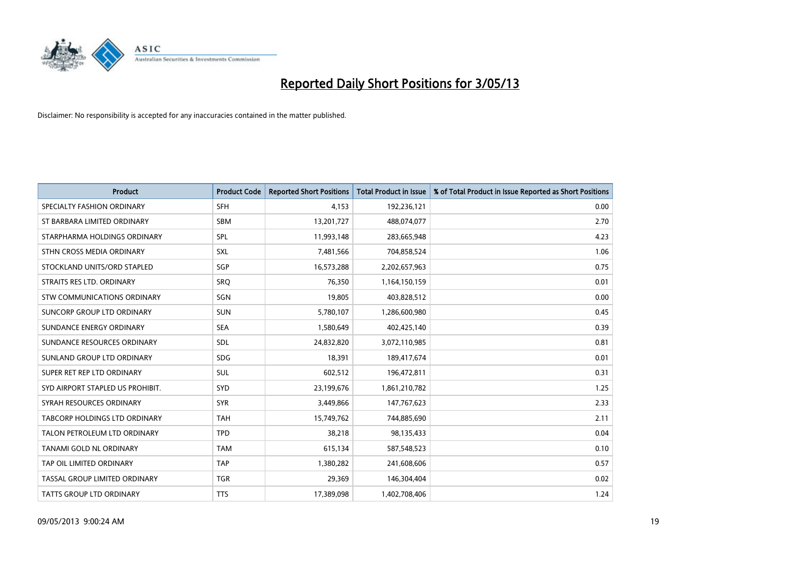

| <b>Product</b>                   | <b>Product Code</b> | <b>Reported Short Positions</b> | <b>Total Product in Issue</b> | % of Total Product in Issue Reported as Short Positions |
|----------------------------------|---------------------|---------------------------------|-------------------------------|---------------------------------------------------------|
| SPECIALTY FASHION ORDINARY       | <b>SFH</b>          | 4.153                           | 192,236,121                   | 0.00                                                    |
| ST BARBARA LIMITED ORDINARY      | <b>SBM</b>          | 13,201,727                      | 488,074,077                   | 2.70                                                    |
| STARPHARMA HOLDINGS ORDINARY     | <b>SPL</b>          | 11,993,148                      | 283,665,948                   | 4.23                                                    |
| STHN CROSS MEDIA ORDINARY        | <b>SXL</b>          | 7,481,566                       | 704,858,524                   | 1.06                                                    |
| STOCKLAND UNITS/ORD STAPLED      | SGP                 | 16,573,288                      | 2,202,657,963                 | 0.75                                                    |
| STRAITS RES LTD. ORDINARY        | SRO                 | 76,350                          | 1,164,150,159                 | 0.01                                                    |
| STW COMMUNICATIONS ORDINARY      | SGN                 | 19,805                          | 403,828,512                   | 0.00                                                    |
| SUNCORP GROUP LTD ORDINARY       | <b>SUN</b>          | 5,780,107                       | 1,286,600,980                 | 0.45                                                    |
| SUNDANCE ENERGY ORDINARY         | <b>SEA</b>          | 1,580,649                       | 402,425,140                   | 0.39                                                    |
| SUNDANCE RESOURCES ORDINARY      | <b>SDL</b>          | 24,832,820                      | 3,072,110,985                 | 0.81                                                    |
| SUNLAND GROUP LTD ORDINARY       | <b>SDG</b>          | 18,391                          | 189,417,674                   | 0.01                                                    |
| SUPER RET REP LTD ORDINARY       | <b>SUL</b>          | 602,512                         | 196,472,811                   | 0.31                                                    |
| SYD AIRPORT STAPLED US PROHIBIT. | <b>SYD</b>          | 23,199,676                      | 1,861,210,782                 | 1.25                                                    |
| SYRAH RESOURCES ORDINARY         | <b>SYR</b>          | 3,449,866                       | 147,767,623                   | 2.33                                                    |
| TABCORP HOLDINGS LTD ORDINARY    | <b>TAH</b>          | 15,749,762                      | 744,885,690                   | 2.11                                                    |
| TALON PETROLEUM LTD ORDINARY     | <b>TPD</b>          | 38,218                          | 98,135,433                    | 0.04                                                    |
| TANAMI GOLD NL ORDINARY          | <b>TAM</b>          | 615,134                         | 587,548,523                   | 0.10                                                    |
| TAP OIL LIMITED ORDINARY         | <b>TAP</b>          | 1,380,282                       | 241,608,606                   | 0.57                                                    |
| TASSAL GROUP LIMITED ORDINARY    | <b>TGR</b>          | 29,369                          | 146,304,404                   | 0.02                                                    |
| TATTS GROUP LTD ORDINARY         | <b>TTS</b>          | 17,389,098                      | 1,402,708,406                 | 1.24                                                    |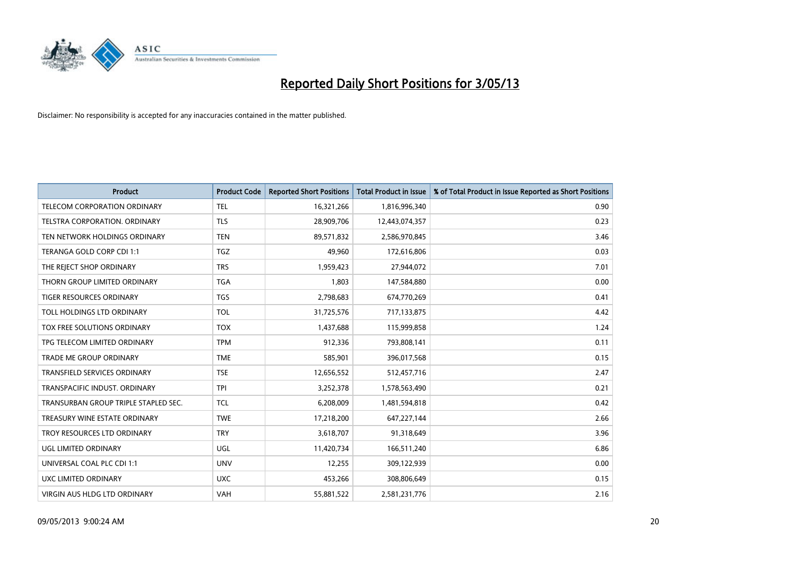

| <b>Product</b>                       | <b>Product Code</b> | <b>Reported Short Positions</b> | <b>Total Product in Issue</b> | % of Total Product in Issue Reported as Short Positions |
|--------------------------------------|---------------------|---------------------------------|-------------------------------|---------------------------------------------------------|
| <b>TELECOM CORPORATION ORDINARY</b>  | <b>TEL</b>          | 16,321,266                      | 1,816,996,340                 | 0.90                                                    |
| TELSTRA CORPORATION, ORDINARY        | <b>TLS</b>          | 28,909,706                      | 12,443,074,357                | 0.23                                                    |
| TEN NETWORK HOLDINGS ORDINARY        | <b>TEN</b>          | 89,571,832                      | 2,586,970,845                 | 3.46                                                    |
| TERANGA GOLD CORP CDI 1:1            | <b>TGZ</b>          | 49,960                          | 172,616,806                   | 0.03                                                    |
| THE REJECT SHOP ORDINARY             | <b>TRS</b>          | 1,959,423                       | 27,944,072                    | 7.01                                                    |
| THORN GROUP LIMITED ORDINARY         | <b>TGA</b>          | 1,803                           | 147,584,880                   | 0.00                                                    |
| <b>TIGER RESOURCES ORDINARY</b>      | <b>TGS</b>          | 2,798,683                       | 674,770,269                   | 0.41                                                    |
| TOLL HOLDINGS LTD ORDINARY           | <b>TOL</b>          | 31,725,576                      | 717,133,875                   | 4.42                                                    |
| TOX FREE SOLUTIONS ORDINARY          | <b>TOX</b>          | 1,437,688                       | 115,999,858                   | 1.24                                                    |
| TPG TELECOM LIMITED ORDINARY         | <b>TPM</b>          | 912,336                         | 793,808,141                   | 0.11                                                    |
| <b>TRADE ME GROUP ORDINARY</b>       | <b>TME</b>          | 585,901                         | 396,017,568                   | 0.15                                                    |
| <b>TRANSFIELD SERVICES ORDINARY</b>  | <b>TSE</b>          | 12,656,552                      | 512,457,716                   | 2.47                                                    |
| TRANSPACIFIC INDUST, ORDINARY        | <b>TPI</b>          | 3,252,378                       | 1,578,563,490                 | 0.21                                                    |
| TRANSURBAN GROUP TRIPLE STAPLED SEC. | <b>TCL</b>          | 6,208,009                       | 1,481,594,818                 | 0.42                                                    |
| TREASURY WINE ESTATE ORDINARY        | <b>TWE</b>          | 17,218,200                      | 647,227,144                   | 2.66                                                    |
| TROY RESOURCES LTD ORDINARY          | <b>TRY</b>          | 3,618,707                       | 91,318,649                    | 3.96                                                    |
| UGL LIMITED ORDINARY                 | UGL                 | 11,420,734                      | 166,511,240                   | 6.86                                                    |
| UNIVERSAL COAL PLC CDI 1:1           | <b>UNV</b>          | 12,255                          | 309,122,939                   | 0.00                                                    |
| UXC LIMITED ORDINARY                 | <b>UXC</b>          | 453,266                         | 308,806,649                   | 0.15                                                    |
| <b>VIRGIN AUS HLDG LTD ORDINARY</b>  | <b>VAH</b>          | 55,881,522                      | 2,581,231,776                 | 2.16                                                    |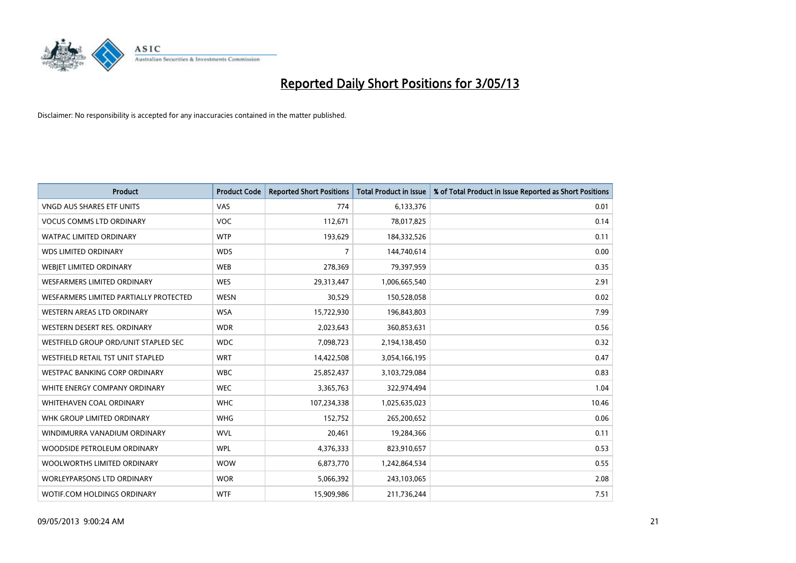

| <b>Product</b>                         | <b>Product Code</b> | <b>Reported Short Positions</b> | <b>Total Product in Issue</b> | % of Total Product in Issue Reported as Short Positions |
|----------------------------------------|---------------------|---------------------------------|-------------------------------|---------------------------------------------------------|
| <b>VNGD AUS SHARES ETF UNITS</b>       | VAS                 | 774                             | 6,133,376                     | 0.01                                                    |
| <b>VOCUS COMMS LTD ORDINARY</b>        | <b>VOC</b>          | 112,671                         | 78,017,825                    | 0.14                                                    |
| <b>WATPAC LIMITED ORDINARY</b>         | <b>WTP</b>          | 193,629                         | 184,332,526                   | 0.11                                                    |
| <b>WDS LIMITED ORDINARY</b>            | <b>WDS</b>          | 7                               | 144,740,614                   | 0.00                                                    |
| WEBIET LIMITED ORDINARY                | <b>WEB</b>          | 278,369                         | 79,397,959                    | 0.35                                                    |
| <b>WESFARMERS LIMITED ORDINARY</b>     | <b>WES</b>          | 29,313,447                      | 1,006,665,540                 | 2.91                                                    |
| WESFARMERS LIMITED PARTIALLY PROTECTED | <b>WESN</b>         | 30,529                          | 150,528,058                   | 0.02                                                    |
| WESTERN AREAS LTD ORDINARY             | <b>WSA</b>          | 15,722,930                      | 196,843,803                   | 7.99                                                    |
| WESTERN DESERT RES. ORDINARY           | <b>WDR</b>          | 2,023,643                       | 360,853,631                   | 0.56                                                    |
| WESTFIELD GROUP ORD/UNIT STAPLED SEC   | <b>WDC</b>          | 7,098,723                       | 2,194,138,450                 | 0.32                                                    |
| WESTFIELD RETAIL TST UNIT STAPLED      | <b>WRT</b>          | 14,422,508                      | 3,054,166,195                 | 0.47                                                    |
| <b>WESTPAC BANKING CORP ORDINARY</b>   | <b>WBC</b>          | 25,852,437                      | 3,103,729,084                 | 0.83                                                    |
| WHITE ENERGY COMPANY ORDINARY          | <b>WEC</b>          | 3,365,763                       | 322,974,494                   | 1.04                                                    |
| WHITEHAVEN COAL ORDINARY               | <b>WHC</b>          | 107,234,338                     | 1,025,635,023                 | 10.46                                                   |
| WHK GROUP LIMITED ORDINARY             | <b>WHG</b>          | 152,752                         | 265,200,652                   | 0.06                                                    |
| WINDIMURRA VANADIUM ORDINARY           | <b>WVL</b>          | 20,461                          | 19,284,366                    | 0.11                                                    |
| WOODSIDE PETROLEUM ORDINARY            | <b>WPL</b>          | 4,376,333                       | 823,910,657                   | 0.53                                                    |
| WOOLWORTHS LIMITED ORDINARY            | <b>WOW</b>          | 6,873,770                       | 1,242,864,534                 | 0.55                                                    |
| <b>WORLEYPARSONS LTD ORDINARY</b>      | <b>WOR</b>          | 5,066,392                       | 243,103,065                   | 2.08                                                    |
| WOTIF.COM HOLDINGS ORDINARY            | <b>WTF</b>          | 15,909,986                      | 211,736,244                   | 7.51                                                    |